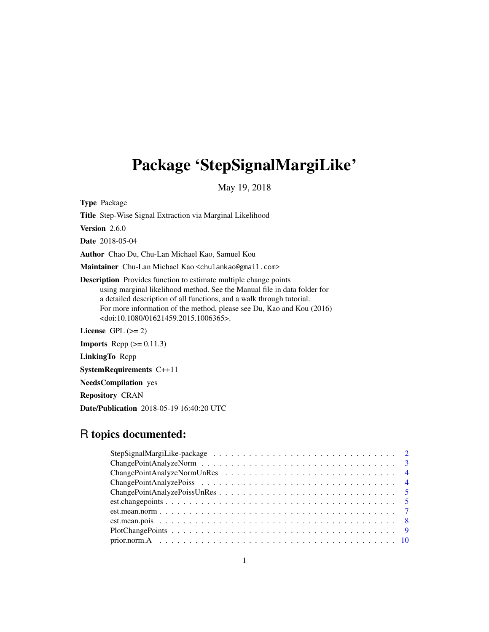## Package 'StepSignalMargiLike'

May 19, 2018

Type Package Title Step-Wise Signal Extraction via Marginal Likelihood Version 2.6.0 Date 2018-05-04 Author Chao Du, Chu-Lan Michael Kao, Samuel Kou Maintainer Chu-Lan Michael Kao <chulankao@gmail.com> Description Provides function to estimate multiple change points using marginal likelihood method. See the Manual file in data folder for a detailed description of all functions, and a walk through tutorial. For more information of the method, please see Du, Kao and Kou (2016) <doi:10.1080/01621459.2015.1006365>. License GPL  $(>= 2)$ **Imports** Rcpp  $(>= 0.11.3)$ 

LinkingTo Rcpp

SystemRequirements C++11

NeedsCompilation yes

Repository CRAN

Date/Publication 2018-05-19 16:40:20 UTC

## R topics documented: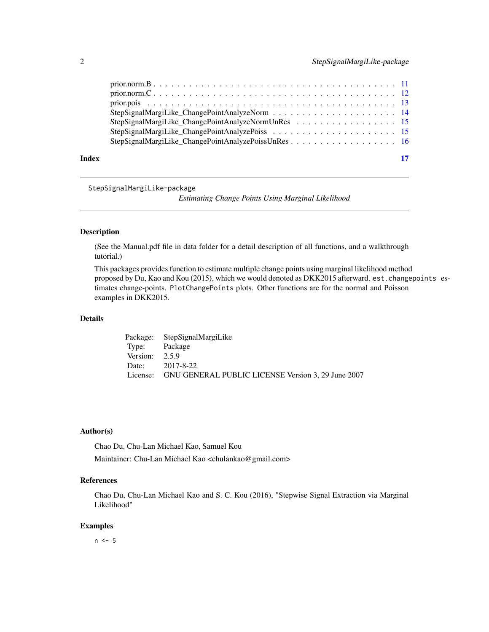<span id="page-1-0"></span>

| Index |                                                    | 17 |
|-------|----------------------------------------------------|----|
|       |                                                    |    |
|       |                                                    |    |
|       | StepSignalMargiLike_ChangePointAnalyzeNormUnRes 15 |    |
|       |                                                    |    |
|       |                                                    |    |
|       |                                                    |    |
|       |                                                    |    |

StepSignalMargiLike-package

*Estimating Change Points Using Marginal Likelihood*

#### Description

(See the Manual.pdf file in data folder for a detail description of all functions, and a walkthrough tutorial.)

This packages provides function to estimate multiple change points using marginal likelihood method proposed by Du, Kao and Kou (2015), which we would denoted as DKK2015 afterward. est.changepoints estimates change-points. PlotChangePoints plots. Other functions are for the normal and Poisson examples in DKK2015.

## Details

|                  | Package: StepSignalMargiLike                                |
|------------------|-------------------------------------------------------------|
| Type: Package    |                                                             |
| Version: $2.5.9$ |                                                             |
|                  | Date: 2017-8-22                                             |
|                  | License: GNU GENERAL PUBLIC LICENSE Version 3, 29 June 2007 |

## Author(s)

Chao Du, Chu-Lan Michael Kao, Samuel Kou Maintainer: Chu-Lan Michael Kao <chulankao@gmail.com>

## References

Chao Du, Chu-Lan Michael Kao and S. C. Kou (2016), "Stepwise Signal Extraction via Marginal Likelihood"

## Examples

 $n < -5$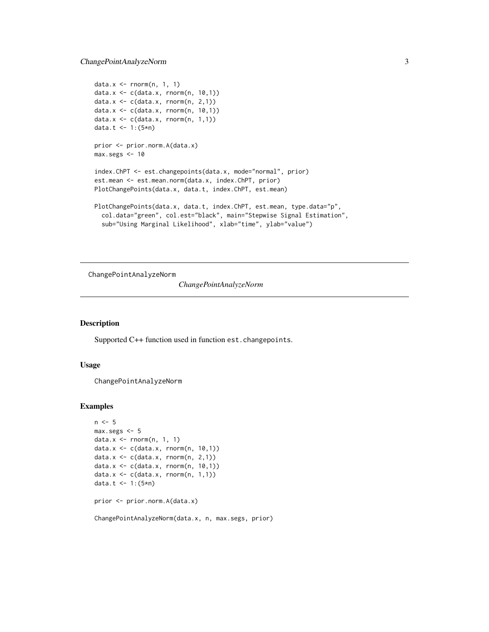```
data.x \leq -rnorm(n, 1, 1)data.x <- c(data.x, rnorm(n, 10,1))
data.x \leq c(data.x, rnorm(n, 2,1))
data.x \leq c(data.x, rnorm(n, 10,1))
data.x \leq c(data.x, rnorm(n, 1,1))
data.t <- 1:(5*n)prior <- prior.norm.A(data.x)
max.segs < -10index.ChPT <- est.changepoints(data.x, mode="normal", prior)
est.mean <- est.mean.norm(data.x, index.ChPT, prior)
PlotChangePoints(data.x, data.t, index.ChPT, est.mean)
PlotChangePoints(data.x, data.t, index.ChPT, est.mean, type.data="p",
  col.data="green", col.est="black", main="Stepwise Signal Estimation",
  sub="Using Marginal Likelihood", xlab="time", ylab="value")
```
ChangePointAnalyzeNorm

*ChangePointAnalyzeNorm*

#### Description

Supported C++ function used in function est.changepoints.

## Usage

ChangePointAnalyzeNorm

```
n < -5max.segs <- 5
data.x \leq -rnorm(n, 1, 1)data.x <- c(data.x, rnorm(n, 10,1))
data.x \leq c(data.x, rnorm(n, 2,1))
data.x \leq c(data.x, rnorm(n, 10,1))
data.x \leq c(data.x, rnorm(n, 1,1))
data.t <- 1:(5*n)
prior <- prior.norm.A(data.x)
ChangePointAnalyzeNorm(data.x, n, max.segs, prior)
```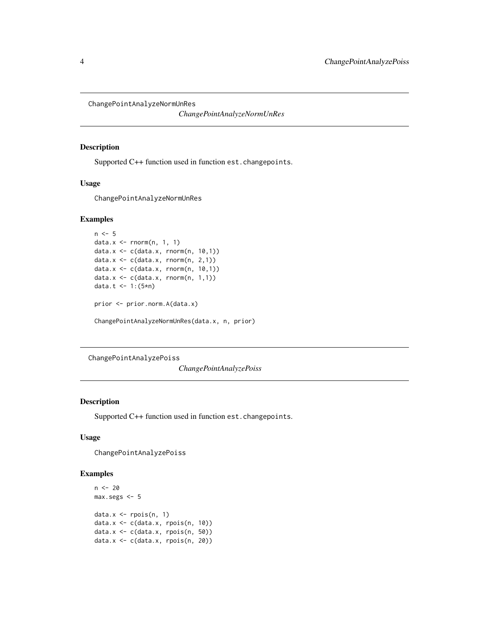<span id="page-3-0"></span>ChangePointAnalyzeNormUnRes

*ChangePointAnalyzeNormUnRes*

#### Description

Supported C++ function used in function est.changepoints.

## Usage

ChangePointAnalyzeNormUnRes

## Examples

```
n < -5data.x <- rnorm(n, 1, 1)
data.x <- c(data.x, rnorm(n, 10,1))
data.x <- c(data.x, rnorm(n, 2,1))
data.x \leq c(data.x, rnorm(n, 10,1))
data.x \leq c(data.x, rnorm(n, 1,1))
data.t <- 1:(5*n)
prior <- prior.norm.A(data.x)
ChangePointAnalyzeNormUnRes(data.x, n, prior)
```
ChangePointAnalyzePoiss

*ChangePointAnalyzePoiss*

## Description

Supported C++ function used in function est.changepoints.

## Usage

ChangePointAnalyzePoiss

```
n < - 20max.segs <- 5
data.x \leftarrow \text{rpois}(n, 1)data.x <- c(data.x, rpois(n, 10))
data.x <- c(data.x, rpois(n, 50))
data.x <- c(data.x, rpois(n, 20))
```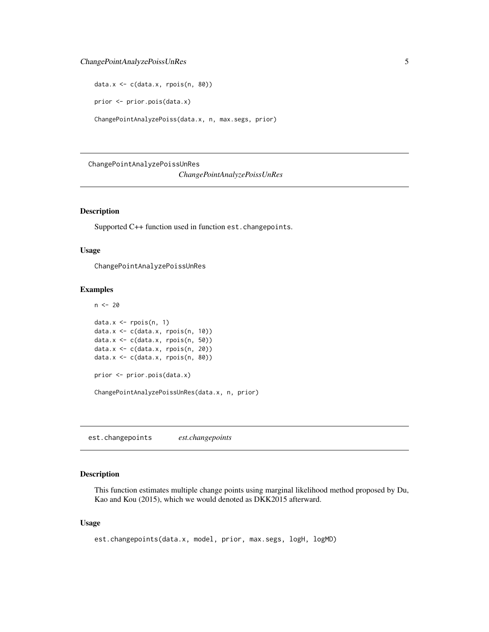## <span id="page-4-0"></span>ChangePointAnalyzePoissUnRes 5

data.x <- c(data.x, rpois(n, 80)) prior <- prior.pois(data.x) ChangePointAnalyzePoiss(data.x, n, max.segs, prior)

ChangePointAnalyzePoissUnRes

*ChangePointAnalyzePoissUnRes*

## Description

Supported C++ function used in function est.changepoints.

#### Usage

ChangePointAnalyzePoissUnRes

#### Examples

```
n <- 20
data.x <- rpois(n, 1)
data.x \leq c(data.x, rpois(n, 10))
data.x <- c(data.x, rpois(n, 50))
data.x <- c(data.x, rpois(n, 20))
data.x <- c(data.x, rpois(n, 80))
prior <- prior.pois(data.x)
ChangePointAnalyzePoissUnRes(data.x, n, prior)
```
est.changepoints *est.changepoints*

## Description

This function estimates multiple change points using marginal likelihood method proposed by Du, Kao and Kou (2015), which we would denoted as DKK2015 afterward.

## Usage

```
est.changepoints(data.x, model, prior, max.segs, logH, logMD)
```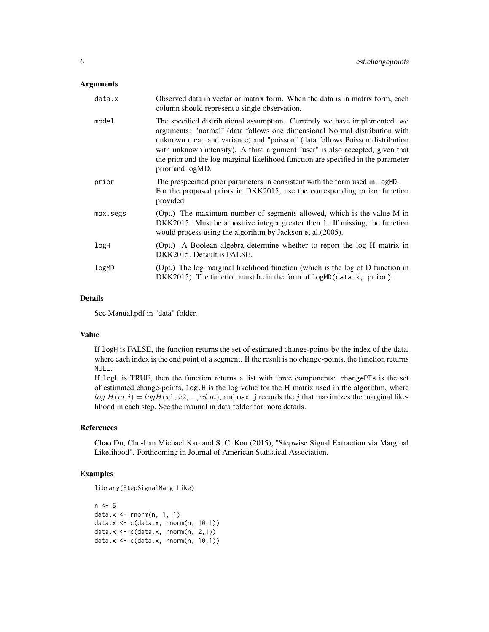#### **Arguments**

| data.x   | Observed data in vector or matrix form. When the data is in matrix form, each<br>column should represent a single observation.                                                                                                                                                                                                                                                                                                    |
|----------|-----------------------------------------------------------------------------------------------------------------------------------------------------------------------------------------------------------------------------------------------------------------------------------------------------------------------------------------------------------------------------------------------------------------------------------|
| model    | The specified distributional assumption. Currently we have implemented two<br>arguments: "normal" (data follows one dimensional Normal distribution with<br>unknown mean and variance) and "poisson" (data follows Poisson distribution<br>with unknown intensity). A third argument "user" is also accepted, given that<br>the prior and the log marginal likelihood function are specified in the parameter<br>prior and logMD. |
| prior    | The prespecified prior parameters in consistent with the form used in logMD.<br>For the proposed priors in DKK2015, use the corresponding prior function<br>provided.                                                                                                                                                                                                                                                             |
| max.segs | (Opt.) The maximum number of segments allowed, which is the value M in<br>DKK2015. Must be a positive integer greater then 1. If missing, the function<br>would process using the algorihtm by Jackson et al. (2005).                                                                                                                                                                                                             |
| logH     | (Opt.) A Boolean algebra determine whether to report the log H matrix in<br>DKK2015. Default is FALSE.                                                                                                                                                                                                                                                                                                                            |
| logMD    | (Opt.) The log marginal likelihood function (which is the log of D function in<br>DKK2015). The function must be in the form of logMD(data.x, prior).                                                                                                                                                                                                                                                                             |

## Details

See Manual.pdf in "data" folder.

## Value

If logH is FALSE, the function returns the set of estimated change-points by the index of the data, where each index is the end point of a segment. If the result is no change-points, the function returns NULL.

If logH is TRUE, then the function returns a list with three components: changePTs is the set of estimated change-points, log.H is the log value for the H matrix used in the algorithm, where  $log H(m, i) = log H(x1, x2, ..., xi|m)$ , and max. j records the j that maximizes the marginal likelihood in each step. See the manual in data folder for more details.

#### References

Chao Du, Chu-Lan Michael Kao and S. C. Kou (2015), "Stepwise Signal Extraction via Marginal Likelihood". Forthcoming in Journal of American Statistical Association.

```
library(StepSignalMargiLike)
```

```
n < -5data.x \leq -rnorm(n, 1, 1)data.x \leq c(data.x, rnorm(n, 10,1))
data.x \leq c(data.x, rnorm(n, 2,1))
data.x \leq c(data.x, rnorm(n, 10,1))
```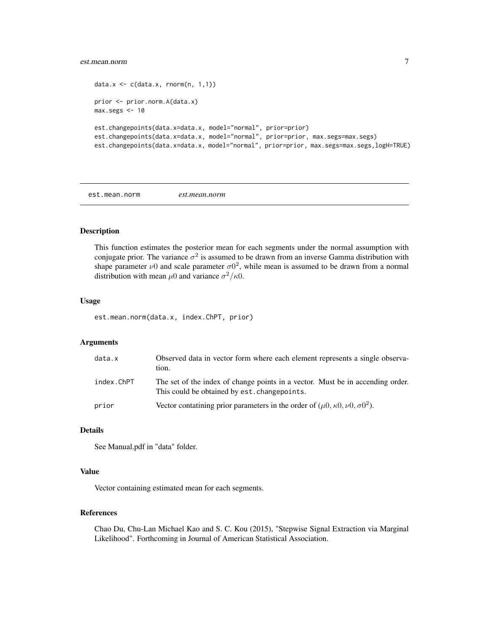## <span id="page-6-0"></span>est.mean.norm 7

```
data.x \leq c(data.x, rnorm(n, 1,1))
prior <- prior.norm.A(data.x)
max.segs <- 10
est.changepoints(data.x=data.x, model="normal", prior=prior)
est.changepoints(data.x=data.x, model="normal", prior=prior, max.segs=max.segs)
est.changepoints(data.x=data.x, model="normal", prior=prior, max.segs=max.segs,logH=TRUE)
```
est.mean.norm *est.mean.norm*

#### Description

This function estimates the posterior mean for each segments under the normal assumption with conjugate prior. The variance  $\sigma^2$  is assumed to be drawn from an inverse Gamma distribution with shape parameter  $\nu$ 0 and scale parameter  $\sigma$ 0<sup>2</sup>, while mean is assumed to be drawn from a normal distribution with mean  $\mu$ 0 and variance  $\sigma^2/\kappa$ 0.

#### Usage

est.mean.norm(data.x, index.ChPT, prior)

## Arguments

| data.x     | Observed data in vector form where each element represents a single observa-<br>tion.                                          |
|------------|--------------------------------------------------------------------------------------------------------------------------------|
| index.ChPT | The set of the index of change points in a vector. Must be in accending order.<br>This could be obtained by est. changepoints. |
| prior      | Vector contatining prior parameters in the order of $(\mu 0, \kappa 0, \nu 0, \sigma 0^2)$ .                                   |

## Details

See Manual.pdf in "data" folder.

## Value

Vector containing estimated mean for each segments.

## References

Chao Du, Chu-Lan Michael Kao and S. C. Kou (2015), "Stepwise Signal Extraction via Marginal Likelihood". Forthcoming in Journal of American Statistical Association.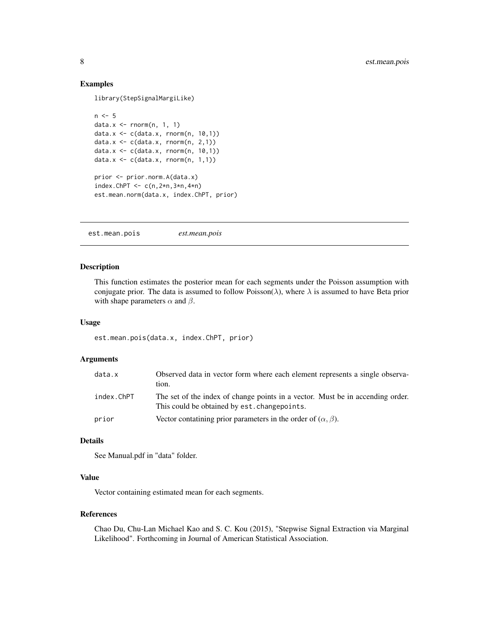## Examples

library(StepSignalMargiLike)

```
n < -5data.x <- rnorm(n, 1, 1)
data.x <- c(data.x, rnorm(n, 10,1))
data.x \leq c(data.x, rnorm(n, 2,1))
data.x <- c(data.x, rnorm(n, 10,1))
data.x \leq c(data.x, rnorm(n, 1,1))
prior <- prior.norm.A(data.x)
index.ChPT \leq c(n, 2*n, 3*n, 4*n)
est.mean.norm(data.x, index.ChPT, prior)
```
est.mean.pois *est.mean.pois*

#### Description

This function estimates the posterior mean for each segments under the Poisson assumption with conjugate prior. The data is assumed to follow Poisson( $\lambda$ ), where  $\lambda$  is assumed to have Beta prior with shape parameters  $\alpha$  and  $\beta$ .

#### Usage

```
est.mean.pois(data.x, index.ChPT, prior)
```
## Arguments

| data.x     | Observed data in vector form where each element represents a single observa-<br>tion.                                           |
|------------|---------------------------------------------------------------------------------------------------------------------------------|
| index.ChPT | The set of the index of change points in a vector. Must be in accending order.<br>This could be obtained by est. change points. |
| prior      | Vector contatining prior parameters in the order of $(\alpha, \beta)$ .                                                         |

## Details

See Manual.pdf in "data" folder.

## Value

Vector containing estimated mean for each segments.

#### References

Chao Du, Chu-Lan Michael Kao and S. C. Kou (2015), "Stepwise Signal Extraction via Marginal Likelihood". Forthcoming in Journal of American Statistical Association.

<span id="page-7-0"></span>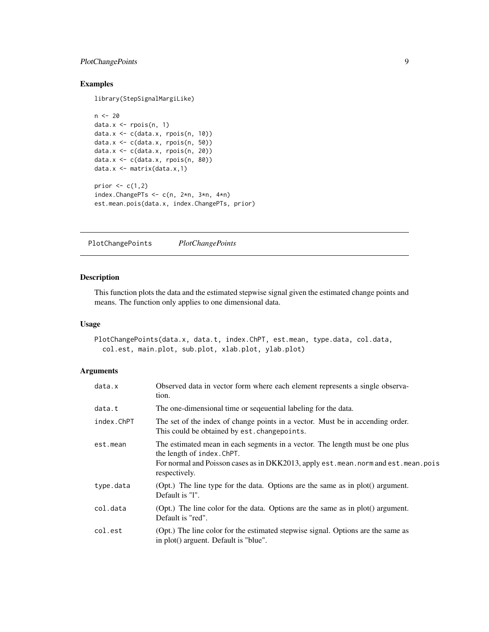## <span id="page-8-0"></span>PlotChangePoints 9

## Examples

library(StepSignalMargiLike)

```
n < -20data.x \leftarrow \text{rpois}(n, 1)data.x <- c(data.x, rpois(n, 10))
data.x <- c(data.x, rpois(n, 50))
data.x <- c(data.x, rpois(n, 20))
data.x <- c(data.x, rpois(n, 80))
data.x <- matrix(data.x,1)
prior \leq c(1,2)index.ChangePTs <- c(n, 2*n, 3*n, 4*n)
est.mean.pois(data.x, index.ChangePTs, prior)
```
PlotChangePoints *PlotChangePoints*

## Description

This function plots the data and the estimated stepwise signal given the estimated change points and means. The function only applies to one dimensional data.

## Usage

```
PlotChangePoints(data.x, data.t, index.ChPT, est.mean, type.data, col.data,
  col.est, main.plot, sub.plot, xlab.plot, ylab.plot)
```
## Arguments

| data.x     | Observed data in vector form where each element represents a single observa-<br>tion.                                                                                                                                |
|------------|----------------------------------------------------------------------------------------------------------------------------------------------------------------------------------------------------------------------|
| data.t     | The one-dimensional time or sequential labeling for the data.                                                                                                                                                        |
| index.ChPT | The set of the index of change points in a vector. Must be in accending order.<br>This could be obtained by est. changepoints.                                                                                       |
| est.mean   | The estimated mean in each segments in a vector. The length must be one plus<br>the length of index. ChPT.<br>For normal and Poisson cases as in DKK2013, apply est. mean. norm and est. mean. pois<br>respectively. |
| type.data  | (Opt.) The line type for the data. Options are the same as in plot() argument.<br>Default is "1".                                                                                                                    |
| col.data   | (Opt.) The line color for the data. Options are the same as in plot() argument.<br>Default is "red".                                                                                                                 |
| col.est    | (Opt.) The line color for the estimated stepwise signal. Options are the same as<br>in plot() arguent. Default is "blue".                                                                                            |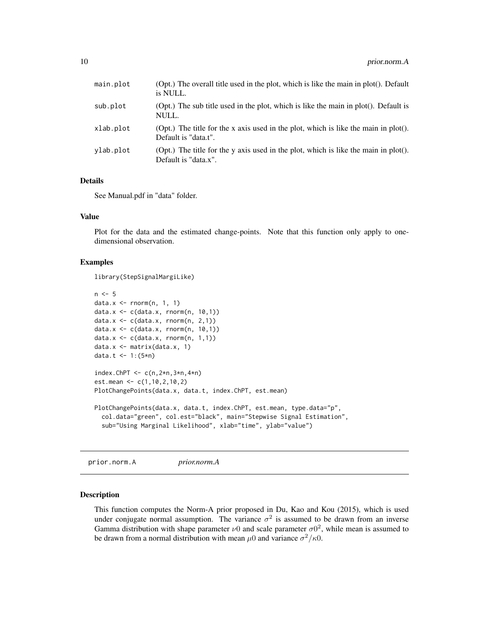<span id="page-9-0"></span>

| main.plot | (Opt.) The overall title used in the plot, which is like the main in plot(). Default<br>is NULL.            |
|-----------|-------------------------------------------------------------------------------------------------------------|
| sub.plot  | (Opt.) The sub title used in the plot, which is like the main in plot(). Default is<br>NULL.                |
| xlab.plot | (Opt.) The title for the x axis used in the plot, which is like the main in plot().<br>Default is "data.t". |
| ylab.plot | (Opt.) The title for the y axis used in the plot, which is like the main in plot().<br>Default is "data.x". |

#### Details

See Manual.pdf in "data" folder.

#### Value

Plot for the data and the estimated change-points. Note that this function only apply to onedimensional observation.

#### Examples

library(StepSignalMargiLike)

```
n < -5data.x \leq -rnorm(n, 1, 1)data.x <- c(data.x, rnorm(n, 10,1))
data.x \leq c(data.x, rnorm(n, 2,1))
data.x <- c(data.x, rnorm(n, 10,1))
data.x <- c(data.x, rnorm(n, 1,1))
data.x <- matrix(data.x, 1)
data.t <- 1:(5*n)index.ChPT \leq c(n, 2*n, 3*n, 4*n)
est.mean <- c(1,10,2,10,2)
PlotChangePoints(data.x, data.t, index.ChPT, est.mean)
PlotChangePoints(data.x, data.t, index.ChPT, est.mean, type.data="p",
  col.data="green", col.est="black", main="Stepwise Signal Estimation",
  sub="Using Marginal Likelihood", xlab="time", ylab="value")
```
prior.norm.A *prior.norm.A*

#### Description

This function computes the Norm-A prior proposed in Du, Kao and Kou (2015), which is used under conjugate normal assumption. The variance  $\sigma^2$  is assumed to be drawn from an inverse Gamma distribution with shape parameter  $\nu$ 0 and scale parameter  $\sigma$ 0<sup>2</sup>, while mean is assumed to be drawn from a normal distribution with mean  $\mu$ 0 and variance  $\sigma^2/\kappa$ 0.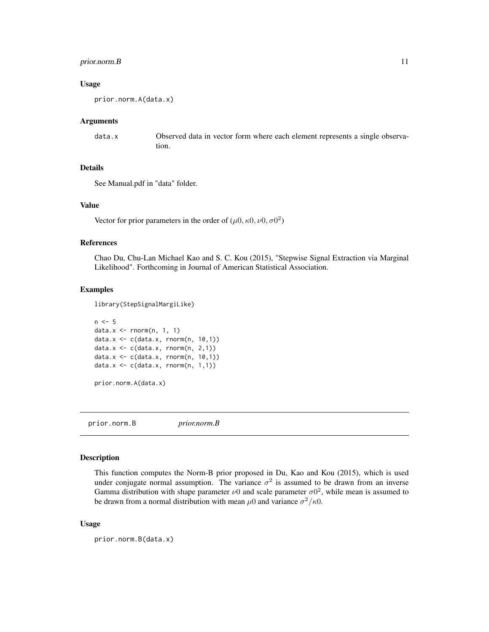## <span id="page-10-0"></span>prior.norm.B 11

#### Usage

prior.norm.A(data.x)

#### Arguments

data.x Observed data in vector form where each element represents a single observation.

## Details

See Manual.pdf in "data" folder.

#### Value

Vector for prior parameters in the order of  $(\mu 0, \kappa 0, \nu 0, \sigma 0^2)$ 

## References

Chao Du, Chu-Lan Michael Kao and S. C. Kou (2015), "Stepwise Signal Extraction via Marginal Likelihood". Forthcoming in Journal of American Statistical Association.

## Examples

library(StepSignalMargiLike)

```
n < -5data.x \leq -rnorm(n, 1, 1)data.x \leq c(data.x, rnorm(n, 10,1))
data.x \leq c(data.x, rnorm(n, 2,1))
data.x <- c(data.x, rnorm(n, 10,1))
data.x \leq c(data.x, rnorm(n, 1,1))
```
prior.norm.A(data.x)

prior.norm.B *prior.norm.B*

#### Description

This function computes the Norm-B prior proposed in Du, Kao and Kou (2015), which is used under conjugate normal assumption. The variance  $\sigma^2$  is assumed to be drawn from an inverse Gamma distribution with shape parameter  $\nu$ 0 and scale parameter  $\sigma$ 0<sup>2</sup>, while mean is assumed to be drawn from a normal distribution with mean  $\mu$ 0 and variance  $\sigma^2/\kappa$ 0.

#### Usage

prior.norm.B(data.x)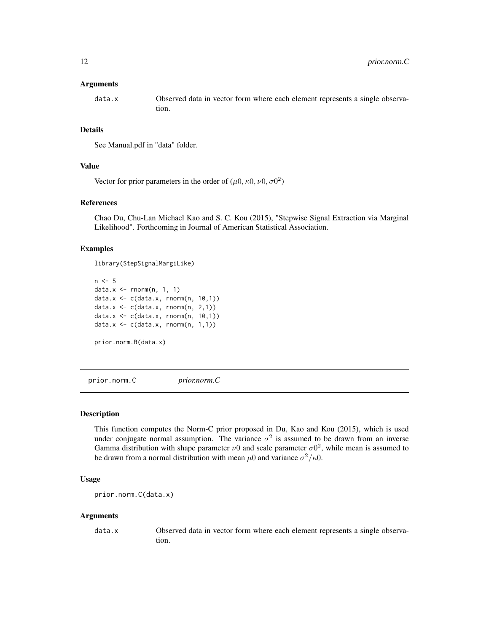#### <span id="page-11-0"></span>Arguments

data.x Observed data in vector form where each element represents a single observation.

#### Details

See Manual.pdf in "data" folder.

#### Value

Vector for prior parameters in the order of  $(\mu 0, \kappa 0, \nu 0, \sigma 0^2)$ 

## References

Chao Du, Chu-Lan Michael Kao and S. C. Kou (2015), "Stepwise Signal Extraction via Marginal Likelihood". Forthcoming in Journal of American Statistical Association.

#### Examples

library(StepSignalMargiLike)

```
n < -5data.x <- rnorm(n, 1, 1)
data.x <- c(data.x, rnorm(n, 10,1))
data.x \leq c(data.x, rnorm(n, 2,1))
data.x <- c(data.x, rnorm(n, 10,1))
data.x \leq c(data.x, rnorm(n, 1,1))
prior.norm.B(data.x)
```
prior.norm.C *prior.norm.C*

#### Description

This function computes the Norm-C prior proposed in Du, Kao and Kou (2015), which is used under conjugate normal assumption. The variance  $\sigma^2$  is assumed to be drawn from an inverse Gamma distribution with shape parameter  $\nu$ 0 and scale parameter  $\sigma$ 0<sup>2</sup>, while mean is assumed to be drawn from a normal distribution with mean  $\mu$ 0 and variance  $\sigma^2/\kappa$ 0.

## Usage

prior.norm.C(data.x)

#### Arguments

data.x Observed data in vector form where each element represents a single observation.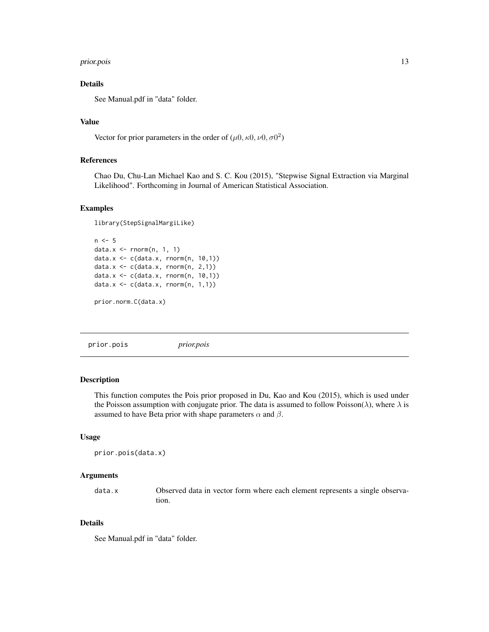#### <span id="page-12-0"></span>prior.pois and the contract of the contract of the contract of the contract of the contract of the contract of the contract of the contract of the contract of the contract of the contract of the contract of the contract of

## Details

See Manual.pdf in "data" folder.

## Value

Vector for prior parameters in the order of  $(\mu 0, \kappa 0, \nu 0, \sigma 0^2)$ 

## References

Chao Du, Chu-Lan Michael Kao and S. C. Kou (2015), "Stepwise Signal Extraction via Marginal Likelihood". Forthcoming in Journal of American Statistical Association.

### Examples

```
library(StepSignalMargiLike)
n < -5data.x \leq -rnorm(n, 1, 1)data.x <- c(data.x, rnorm(n, 10,1))
data.x \leq c(data.x, rnorm(n, 2,1))
data.x <- c(data.x, rnorm(n, 10,1))
data.x \leq c(data.x, rnorm(n, 1,1))
```
prior.norm.C(data.x)

prior.pois *prior.pois*

## Description

This function computes the Pois prior proposed in Du, Kao and Kou (2015), which is used under the Poisson assumption with conjugate prior. The data is assumed to follow Poisson( $\lambda$ ), where  $\lambda$  is assumed to have Beta prior with shape parameters  $\alpha$  and  $\beta$ .

#### Usage

```
prior.pois(data.x)
```
#### Arguments

data.x Observed data in vector form where each element represents a single observation.

## Details

See Manual.pdf in "data" folder.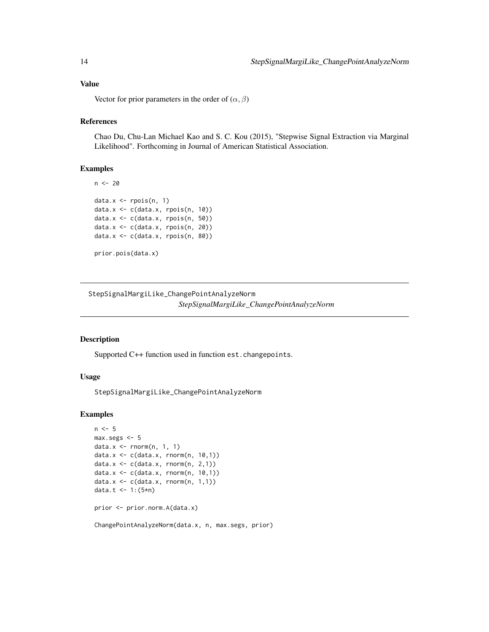## <span id="page-13-0"></span>Value

Vector for prior parameters in the order of  $(\alpha, \beta)$ 

#### References

Chao Du, Chu-Lan Michael Kao and S. C. Kou (2015), "Stepwise Signal Extraction via Marginal Likelihood". Forthcoming in Journal of American Statistical Association.

#### Examples

```
n < - 20data.x \leftarrow \text{rpois}(n, 1)data.x <- c(data.x, rpois(n, 10))
data.x <- c(data.x, rpois(n, 50))
data.x <- c(data.x, rpois(n, 20))
data.x <- c(data.x, rpois(n, 80))
prior.pois(data.x)
```
StepSignalMargiLike\_ChangePointAnalyzeNorm *StepSignalMargiLike\_ChangePointAnalyzeNorm*

#### Description

Supported C++ function used in function est.changepoints.

## Usage

StepSignalMargiLike\_ChangePointAnalyzeNorm

```
n < -5max.segs <- 5
data.x \leq -rnorm(n, 1, 1)data.x <- c(data.x, rnorm(n, 10,1))
data.x <- c(data.x, rnorm(n, 2,1))
data.x <- c(data.x, rnorm(n, 10,1))
data.x \leq c(data.x, rnorm(n, 1,1))
data.t <- 1:(5*n)prior <- prior.norm.A(data.x)
ChangePointAnalyzeNorm(data.x, n, max.segs, prior)
```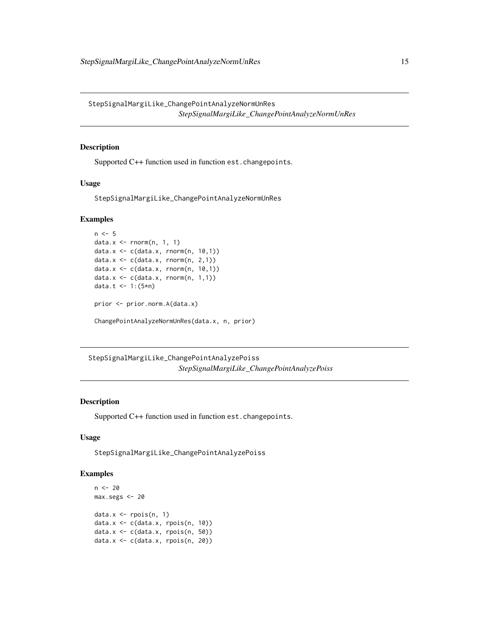<span id="page-14-0"></span>StepSignalMargiLike\_ChangePointAnalyzeNormUnRes *StepSignalMargiLike\_ChangePointAnalyzeNormUnRes*

#### Description

Supported C++ function used in function est.changepoints.

## Usage

StepSignalMargiLike\_ChangePointAnalyzeNormUnRes

## Examples

```
n < -5data.x <- rnorm(n, 1, 1)
data.x <- c(data.x, rnorm(n, 10,1))
data.x \leq c(data.x, rnorm(n, 2,1))
data.x <- c(data.x, rnorm(n, 10,1))
data.x \leq c(data.x, rnorm(n, 1,1))
data.t <- 1:(5*n)
prior <- prior.norm.A(data.x)
ChangePointAnalyzeNormUnRes(data.x, n, prior)
```
StepSignalMargiLike\_ChangePointAnalyzePoiss *StepSignalMargiLike\_ChangePointAnalyzePoiss*

## Description

Supported C++ function used in function est.changepoints.

#### Usage

StepSignalMargiLike\_ChangePointAnalyzePoiss

```
n < - 20max.segs <- 20
data.x \leftarrow \text{rpois}(n, 1)data.x <- c(data.x, rpois(n, 10))
data.x \leq c(data.x, rpois(n, 50))
data.x <- c(data.x, rpois(n, 20))
```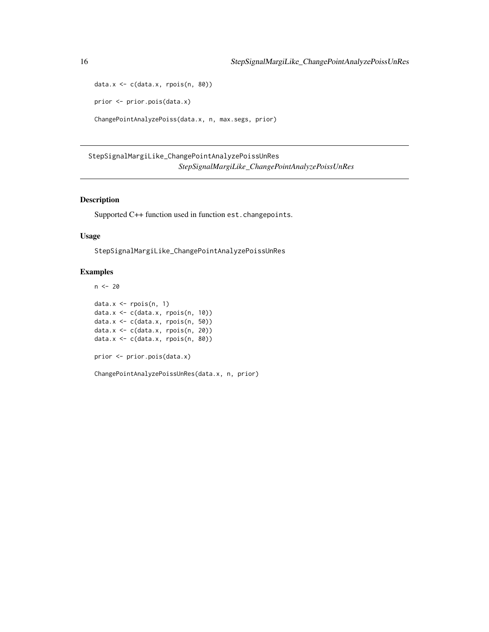```
data.x <- c(data.x, rpois(n, 80))
prior <- prior.pois(data.x)
ChangePointAnalyzePoiss(data.x, n, max.segs, prior)
```
StepSignalMargiLike\_ChangePointAnalyzePoissUnRes *StepSignalMargiLike\_ChangePointAnalyzePoissUnRes*

## Description

Supported C++ function used in function est.changepoints.

## Usage

StepSignalMargiLike\_ChangePointAnalyzePoissUnRes

## Examples

```
n < - 20data.x <- rpois(n, 1)
data.x <- c(data.x, rpois(n, 10))
data.x \leq c(data.x, rpois(n, 50))
data.x \leq c(data.x, rpois(n, 20))
data.x <- c(data.x, rpois(n, 80))
prior <- prior.pois(data.x)
```
ChangePointAnalyzePoissUnRes(data.x, n, prior)

<span id="page-15-0"></span>